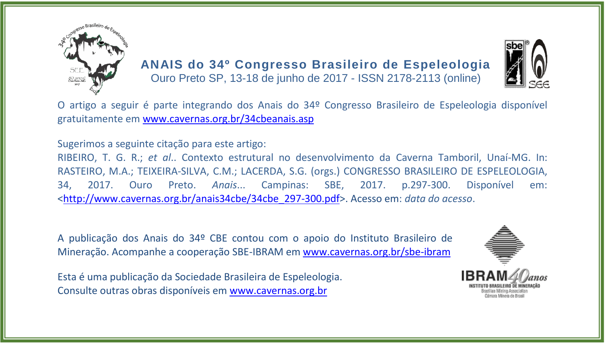

**ANAIS do 34º Congresso Brasileiro de Espeleologia** Ouro Preto SP, 13-18 de junho de 2017 - ISSN 2178-2113 (online)



O artigo a seguir é parte integrando dos Anais do 34º Congresso Brasileiro de Espeleologia disponível gratuitamente em [www.cavernas.org.br/34cbeanais.asp](http://www.cavernas.org.br/34cbeanais.asp)

Sugerimos a seguinte citação para este artigo:

RIBEIRO, T. G. R.; *et al*.. Contexto estrutural no desenvolvimento da Caverna Tamboril, Unaí-MG. In: RASTEIRO, M.A.; TEIXEIRA-SILVA, C.M.; LACERDA, S.G. (orgs.) CONGRESSO BRASILEIRO DE ESPELEOLOGIA, 34, 2017. Ouro Preto. *Anais*... Campinas: SBE, 2017. p.297-300. Disponível em: [<http://www.cavernas.org.br/anais34cbe/34cbe\\_297-300.pdf>](http://www.cavernas.org.br/anais34cbe/34cbe_297-300.pdf). Acesso em: *data do acesso*.

A publicação dos Anais do 34º CBE contou com o apoio do Instituto Brasileiro de Mineração. Acompanhe a cooperação SBE-IBRAM em [www.cavernas.org.br/sbe-ibram](http://www.cavernas.org.br/sbe-ibram)

Esta é uma publicação da Sociedade Brasileira de Espeleologia. Consulte outras obras disponíveis em [www.cavernas.org.br](http://www.cavernas.org.br/)

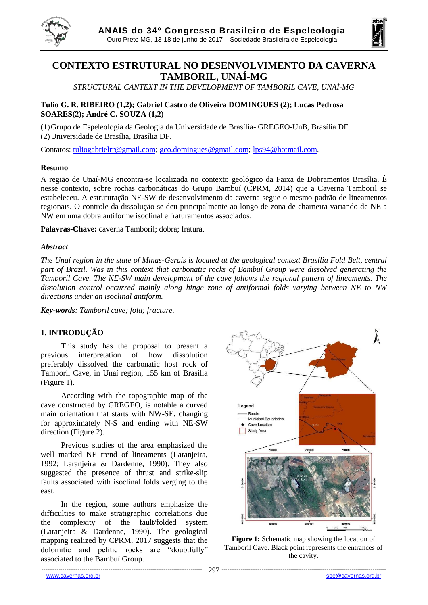



# **CONTEXTO ESTRUTURAL NO DESENVOLVIMENTO DA CAVERNA TAMBORIL, UNAÍ-MG**

*STRUCTURAL CANTEXT IN THE DEVELOPMENT OF TAMBORIL CAVE, UNAÍ-MG*

# **Tulio G. R. RIBEIRO (1,2); Gabriel Castro de Oliveira DOMINGUES (2); Lucas Pedrosa SOARES(2); André C. SOUZA (1,2)**

(1)Grupo de Espeleologia da Geologia da Universidade de Brasília- GREGEO-UnB, Brasília DF. (2)Universidade de Brasília, Brasília DF.

Contatos: [tuliogabrielrr@gmail.com;](mailto:tuliogabrielrr@gmail.com) [gco.domingues@gmail.com;](mailto:gco.domingues@gmail.com) [lps94@hotmail.com.](mailto:lps94@hotmail.com)

## **Resumo**

A região de Unaí-MG encontra-se localizada no contexto geológico da Faixa de Dobramentos Brasília. É nesse contexto, sobre rochas carbonáticas do Grupo Bambuí (CPRM, 2014) que a Caverna Tamboril se estabeleceu. A estruturação NE-SW de desenvolvimento da caverna segue o mesmo padrão de lineamentos regionais. O controle da dissolução se deu principalmente ao longo de zona de charneira variando de NE a NW em uma dobra antiforme isoclinal e fraturamentos associados.

**Palavras-Chave:** caverna Tamboril; dobra; fratura.

# *Abstract*

*The Unaí region in the state of Minas-Gerais is located at the geological context Brasília Fold Belt, central part of Brazil. Was in this context that carbonatic rocks of Bambuí Group were dissolved generating the Tamboril Cave. The NE-SW main development of the cave follows the regional pattern of lineaments. The dissolution control occurred mainly along hinge zone of antiformal folds varying between NE to NW directions under an isoclinal antiform.*

*Key-words: Tamboril cave; fold; fracture.*

# **1. INTRODUÇÃO**

This study has the proposal to present a previous interpretation of how dissolution preferably dissolved the carbonatic host rock of Tamboril Cave, in Unaí region, 155 km of Brasilia (Figure 1).

According with the topographic map of the cave constructed by GREGEO, is notable a curved main orientation that starts with NW-SE, changing for approximately N-S and ending with NE-SW direction (Figure 2).

Previous studies of the area emphasized the well marked NE trend of lineaments (Laranjeira, 1992; Laranjeira & Dardenne, 1990). They also suggested the presence of thrust and strike-slip faults associated with isoclinal folds verging to the east.

In the region, some authors emphasize the difficulties to make stratigraphic correlations due the complexity of the fault/folded system (Laranjeira & Dardenne, 1990). The geological mapping realized by CPRM, 2017 suggests that the dolomitic and pelitic rocks are "doubtfully" associated to the Bambuí Group.



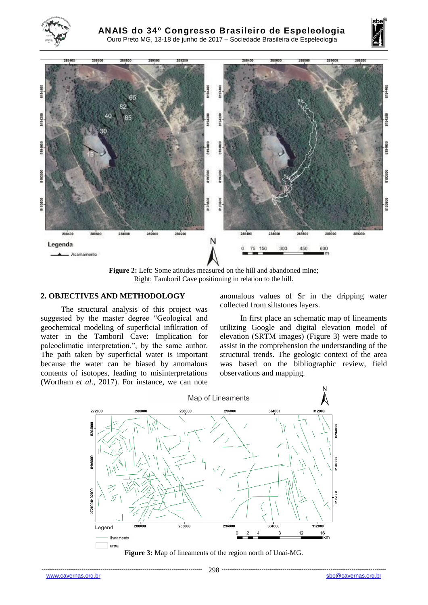





Figure 2: Left: Some atitudes measured on the hill and abandoned mine; Right: Tamboril Cave positioning in relation to the hill*.*

#### **2. OBJECTIVES AND METHODOLOGY**

The structural analysis of this project was suggested by the master degree "Geological and geochemical modeling of superficial infiltration of water in the Tamboril Cave: Implication for paleoclimatic interpretation.", by the same author. The path taken by superficial water is important because the water can be biased by anomalous contents of isotopes, leading to misinterpretations (Wortham *et al*., 2017). For instance, we can note anomalous values of Sr in the dripping water collected from siltstones layers.

In first place an schematic map of lineaments utilizing Google and digital elevation model of elevation (SRTM images) (Figure 3) were made to assist in the comprehension the understanding of the structural trends. The geologic context of the area was based on the bibliographic review, field observations and mapping.



**Figure 3:** Map of lineaments of the region north of Unaí-MG.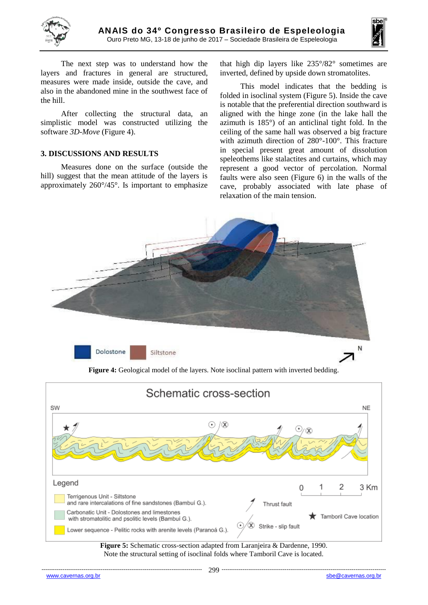



The next step was to understand how the layers and fractures in general are structured, measures were made inside, outside the cave, and also in the abandoned mine in the southwest face of the hill.

After collecting the structural data, an simplistic model was constructed utilizing the software *3D-Move* (Figure 4).

#### **3. DISCUSSIONS AND RESULTS**

Measures done on the surface (outside the hill) suggest that the mean attitude of the layers is approximately 260°/45°. Is important to emphasize that high dip layers like 235°/82° sometimes are inverted, defined by upside down stromatolites.

This model indicates that the bedding is folded in isoclinal system (Figure 5). Inside the cave is notable that the preferential direction southward is aligned with the hinge zone (in the lake hall the azimuth is 185°) of an anticlinal tight fold. In the ceiling of the same hall was observed a big fracture with azimuth direction of 280°-100°. This fracture in special present great amount of dissolution speleothems like stalactites and curtains, which may represent a good vector of percolation. Normal faults were also seen (Figure 6) in the walls of the cave, probably associated with late phase of relaxation of the main tension.



**Figure 4:** Geological model of the layers. Note isoclinal pattern with inverted bedding.